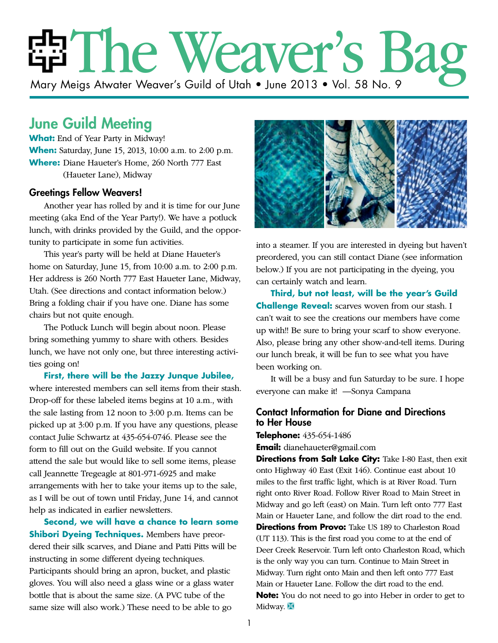# The Weaver's Bag Mary Meigs Atwater Weaver's Guild of Utah • June 2013 • Vol. 58 No. 9

## June Guild Meeting

**What:** End of Year Party in Midway! **When:** Saturday, June 15, 2013, 10:00 a.m. to 2:00 p.m. **Where:** Diane Haueter's Home, 260 North 777 East (Haueter Lane), Midway

#### Greetings Fellow Weavers!

Another year has rolled by and it is time for our June meeting (aka End of the Year Party!). We have a potluck lunch, with drinks provided by the Guild, and the opportunity to participate in some fun activities.

This year's party will be held at Diane Haueter's home on Saturday, June 15, from 10:00 a.m. to 2:00 p.m. Her address is 260 North 777 East Haueter Lane, Midway, Utah. (See directions and contact information below.) Bring a folding chair if you have one. Diane has some chairs but not quite enough.

The Potluck Lunch will begin about noon. Please bring something yummy to share with others. Besides lunch, we have not only one, but three interesting activities going on!

**First, there will be the Jazzy Junque Jubilee,** where interested members can sell items from their stash. Drop-off for these labeled items begins at 10 a.m., with the sale lasting from 12 noon to 3:00 p.m. Items can be picked up at 3:00 p.m. If you have any questions, please contact Julie Schwartz at 435-654-0746. Please see the form to fill out on the Guild website. If you cannot attend the sale but would like to sell some items, please call Jeannette Tregeagle at 801-971-6925 and make arrangements with her to take your items up to the sale, as I will be out of town until Friday, June 14, and cannot help as indicated in earlier newsletters.

**Second, we will have a chance to learn some Shibori Dyeing Techniques.** Members have preordered their silk scarves, and Diane and Patti Pitts will be instructing in some different dyeing techniques. Participants should bring an apron, bucket, and plastic gloves. You will also need a glass wine or a glass water bottle that is about the same size. (A PVC tube of the same size will also work.) These need to be able to go



into a steamer. If you are interested in dyeing but haven't preordered, you can still contact Diane (see information below.) If you are not participating in the dyeing, you can certainly watch and learn.

**Third, but not least, will be the year's Guild Challenge Reveal:** scarves woven from our stash. I can't wait to see the creations our members have come up with!! Be sure to bring your scarf to show everyone. Also, please bring any other show-and-tell items. During our lunch break, it will be fun to see what you have been working on.

It will be a busy and fun Saturday to be sure. I hope everyone can make it! —Sonya Campana

### Contact Information for Diane and Directions to Her House

**Telephone:** 435-654-1486

**Email:** dianehaueter@gmail.com

**Directions from Salt Lake City:** Take I-80 East, then exit onto Highway 40 East (Exit 146). Continue east about 10 miles to the first traffic light, which is at River Road. Turn right onto River Road. Follow River Road to Main Street in Midway and go left (east) on Main. Turn left onto 777 East Main or Haueter Lane, and follow the dirt road to the end. **Directions from Provo:** Take US 189 to Charleston Road (UT 113). This is the first road you come to at the end of Deer Creek Reservoir. Turn left onto Charleston Road, which is the only way you can turn. Continue to Main Street in Midway. Turn right onto Main and then left onto 777 East Main or Haueter Lane. Follow the dirt road to the end. **Note:** You do not need to go into Heber in order to get to Midway.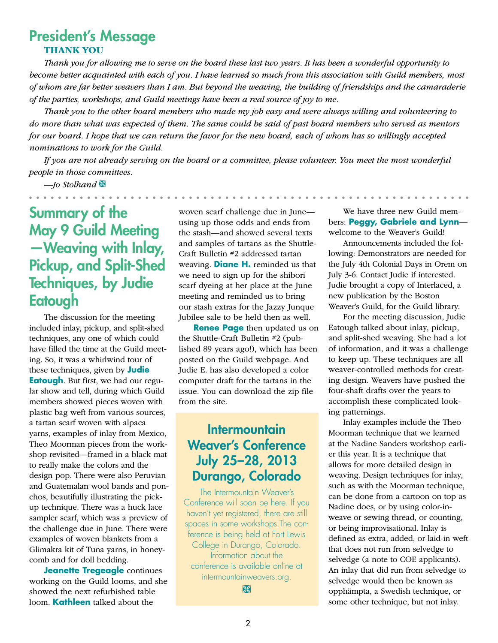### President's Message **THANK YOU**

*Thank you for allowing me to serve on the board these last two years. It has been a wonderful opportunity to become better acquainted with each of you. I have learned so much from this association with Guild members, most of whom are far better weavers than I am. But beyond the weaving, the building of friendships and the camaraderie of the parties, workshops, and Guild meetings have been a real source of joy to me.*

*Thank you to the other board members who made my job easy and were always willing and volunteering to do more than what was expected of them. The same could be said of past board members who served as mentors for our board. I hope that we can return the favor for the new board, each of whom has so willingly accepted nominations to work for the Guild.*

*If you are not already serving on the board or a committee, please volunteer. You meet the most wonderful people in those committees.*

*—Jo Stolhand* Ì

. . . . . . . . .

# Summary of the May 9 Guild Meeting —Weaving with Inlay, Pickup, and Split-Shed Techniques, by Judie **Eatough**

The discussion for the meeting included inlay, pickup, and split-shed techniques, any one of which could have filled the time at the Guild meeting. So, it was a whirlwind tour of these techniques, given by **Judie Eatough**. But first, we had our regular show and tell, during which Guild members showed pieces woven with plastic bag weft from various sources, a tartan scarf woven with alpaca yarns, examples of inlay from Mexico, Theo Moorman pieces from the workshop revisited—framed in a black mat to really make the colors and the design pop. There were also Peruvian and Guatemalan wool bands and ponchos, beautifully illustrating the pickup technique. There was a huck lace sampler scarf, which was a preview of the challenge due in June. There were examples of woven blankets from a Glimakra kit of Tuna yarns, in honeycomb and for doll bedding.

**Jeanette Tregeagle** continues working on the Guild looms, and she showed the next refurbished table loom. **Kathleen** talked about the

woven scarf challenge due in June using up those odds and ends from the stash—and showed several texts and samples of tartans as the Shuttle-Craft Bulletin #2 addressed tartan weaving. **Diane H.** reminded us that we need to sign up for the shibori scarf dyeing at her place at the June meeting and reminded us to bring our stash extras for the Jazzy Junque Jubilee sale to be held then as well.

**Renee Page** then updated us on the Shuttle-Craft Bulletin #2 (published 89 years ago!), which has been posted on the Guild webpage. And Judie E. has also developed a color computer draft for the tartans in the issue. You can download the zip file from the site.

### **Intermountain** Weaver's Conference July 25–28, 2013 Durango, Colorado

The Intermountain Weaver's Conference will soon be here. If you haven't yet registered, there are still spaces in some workshops.The conference is being held at Fort Lewis College in Durango, Colorado. Information about the conference is available online at intermountainweavers.org.

 $\mathbb{R}$ 

We have three new Guild members: **Peggy, Gabriele and Lynn** welcome to the Weaver's Guild!

Announcements included the following: Demonstrators are needed for the July 4th Colonial Days in Orem on July 3-6. Contact Judie if interested. Judie brought a copy of Interlaced, a new publication by the Boston Weaver's Guild, for the Guild library.

For the meeting discussion, Judie Eatough talked about inlay, pickup, and split-shed weaving. She had a lot of information, and it was a challenge to keep up. These techniques are all weaver-controlled methods for creating design. Weavers have pushed the four-shaft drafts over the years to accomplish these complicated looking patternings.

Inlay examples include the Theo Moorman technique that we learned at the Nadine Sanders workshop earlier this year. It is a technique that allows for more detailed design in weaving. Design techniques for inlay, such as with the Moorman technique, can be done from a cartoon on top as Nadine does, or by using color-inweave or sewing thread, or counting, or being improvisational. Inlay is defined as extra, added, or laid-in weft that does not run from selvedge to selvedge (a note to COE applicants). An inlay that did run from selvedge to selvedge would then be known as opphämpta, a Swedish technique, or some other technique, but not inlay.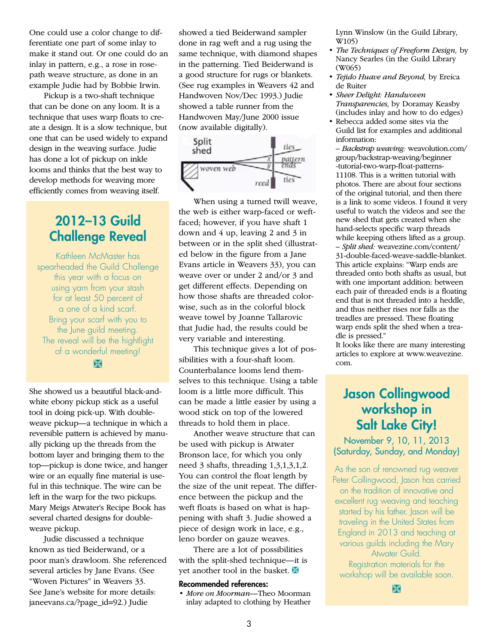One could use a color change to differentiate one part of some inlay to make it stand out. Or one could do an inlay in pattern, e.g., a rose in rosepath weave structure, as done in an example Judie had by Bobbie Irwin.

Pickup is a two-shaft technique that can be done on any loom. It is a technique that uses warp floats to create a design. It is a slow technique, but one that can be used widely to expand design in the weaving surface. Judie has done a lot of pickup on inkle looms and thinks that the best way to develop methods for weaving more efficiently comes from weaving itself.

### 2012–13 Guild Challenge Reveal

Kathleen McMaster has spearheaded the Guild Challenge this year with a focus on using yarn from your stash for at least 50 percent of a one of a kind scarf. Bring your scarf with you to the June guild meeting. The reveal will be the hightlight of a wonderful meeting!

BK

She showed us a beautiful black-andwhite ebony pickup stick as a useful tool in doing pick-up. With doubleweave pickup—a technique in which a reversible pattern is achieved by manually picking up the threads from the bottom layer and bringing them to the top—pickup is done twice, and hanger wire or an equally fine material is useful in this technique. The wire can be left in the warp for the two pickups. Mary Meigs Atwater's Recipe Book has several charted designs for doubleweave pickup.

Judie discussed a technique known as tied Beiderwand, or a poor man's drawloom. She referenced several articles by Jane Evans. (See "Woven Pictures" in Weavers 33. See Jane's website for more details: janeevans.ca/?page\_id=92.) Judie

showed a tied Beiderwand sampler done in rag weft and a rug using the same technique, with diamond shapes in the patterning. Tied Beiderwand is a good structure for rugs or blankets. (See rug examples in Weavers 42 and Handwoven Nov/Dec 1993.) Judie showed a table runner from the Handwoven May/June 2000 issue (now available digitally).



When using a turned twill weave, the web is either warp-faced or weftfaced; however, if you have shaft 1 down and 4 up, leaving 2 and 3 in between or in the split shed (illustrated below in the figure from a Jane Evans article in Weavers 33), you can weave over or under 2 and/or 3 and get different effects. Depending on how those shafts are threaded colorwise, such as in the colorful block weave towel by Joanne Tallarovic that Judie had, the results could be very variable and interesting.

This technique gives a lot of possibilities with a four-shaft loom. Counterbalance looms lend themselves to this technique. Using a table loom is a little more difficult. This can be made a little easier by using a wood stick on top of the lowered threads to hold them in place.

Another weave structure that can be used with pickup is Atwater Bronson lace, for which you only need 3 shafts, threading 1,3,1,3,1,2. You can control the float length by the size of the unit repeat. The difference between the pickup and the weft floats is based on what is happening with shaft 3. Judie showed a piece of design work in lace, e.g., leno border on gauze weaves.

There are a lot of possibilities with the split-shed technique—it is yet another tool in the basket.  $\mathbb X$ 

#### Recommended references:

• *More on Moorman—*Theo Moorman inlay adapted to clothing by Heather Lynn Winslow (in the Guild Library, W105)

- *The Techniques of Freeform Design,* by Nancy Searles (in the Guild Library (W065)
- *Tejido Huave and Beyond,* by Ereica de Ruiter
- *Sheer Delight: Handwoven Transparencies,* by Doramay Keasby (includes inlay and how to do edges)
- Rebecca added some sites via the Guild list for examples and additional information:

– *Backstrap weaving:* weavolution.com/ group/backstrap-weaving/beginner -tutorial-two-warp-float-patterns-11108. This is a written tutorial with photos. There are about four sections of the original tutorial, and then there is a link to some videos. I found it very useful to watch the videos and see the new shed that gets created when she hand-selects specific warp threads while keeping others lifted as a group. – *Split shed:* weavezine.com/content/ 31-double-faced-weave-saddle-blanket. This article explains: "Warp ends are threaded onto both shafts as usual, but with one important addition: between each pair of threaded ends is a floating end that is not threaded into a heddle, and thus neither rises nor falls as the treadles are pressed. These floating warp ends split the shed when a treadle is pressed."

It looks like there are many interesting articles to explore at www.weavezine. com.

### Jason Collingwood workshop in Salt Lake City!

November 9, 10, 11, 2013 (Saturday, Sunday, and Monday)

As the son of renowned rug weaver Peter Collingwood, Jason has carried on the tradition of innovative and excellent rug weaving and teaching started by his father. Jason will be traveling in the United States from England in 2013 and teaching at various guilds including the Mary Atwater Guild. Registration materials for the workshop will be available soon.

Ì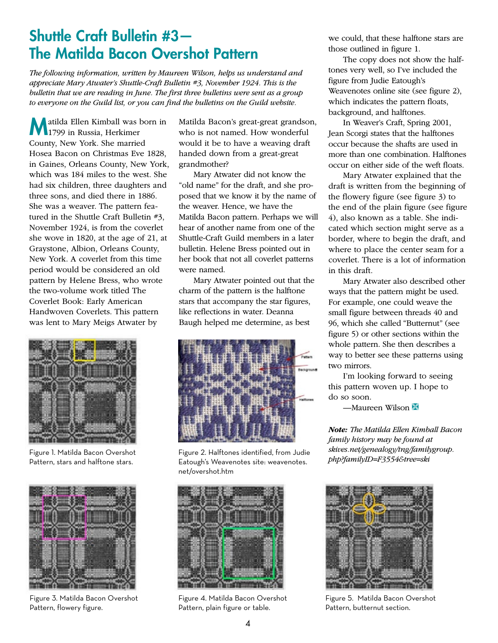# Shuttle Craft Bulletin #3— The Matilda Bacon Overshot Pattern

*The following information, written by Maureen Wilson, helps us understand and appreciate Mary Atwater's Shuttle-Craft Bulletin #3, November 1924. This is the bulletin that we are reading in June. The first three bulletins were sent as a group to everyone on the Guild list, or you can find the bulletins on the Guild website.*

atilda Ellen Kimball was born in 1799 in Russia, Herkimer County, New York. She married Hosea Bacon on Christmas Eve 1828, in Gaines, Orleans County, New York, which was 184 miles to the west. She had six children, three daughters and three sons, and died there in 1886. She was a weaver. The pattern featured in the Shuttle Craft Bulletin #3, November 1924, is from the coverlet she wove in 1820, at the age of 21, at Graystone, Albion, Orleans County, New York. A coverlet from this time period would be considered an old pattern by Helene Bress, who wrote the two-volume work titled The Coverlet Book: Early American Handwoven Coverlets. This pattern was lent to Mary Meigs Atwater by



Figure 1. Matilda Bacon Overshot Pattern, stars and halftone stars.



Figure 3. Matilda Bacon Overshot Pattern, flowery figure.

Matilda Bacon's great-great grandson, who is not named. How wonderful would it be to have a weaving draft handed down from a great-great grandmother?

Mary Atwater did not know the "old name" for the draft, and she proposed that we know it by the name of the weaver. Hence, we have the Matilda Bacon pattern. Perhaps we will hear of another name from one of the Shuttle-Craft Guild members in a later bulletin. Helene Bress pointed out in her book that not all coverlet patterns were named.

Mary Atwater pointed out that the charm of the pattern is the halftone stars that accompany the star figures, like reflections in water. Deanna Baugh helped me determine, as best



Figure 2. Halftones identified, from Judie Eatough's Weavenotes site: weavenotes. net/overshot.htm



Figure 4. Matilda Bacon Overshot Pattern, plain figure or table.

we could, that these halftone stars are those outlined in figure 1.

The copy does not show the halftones very well, so I've included the figure from Judie Eatough's Weavenotes online site (see figure 2), which indicates the pattern floats, background, and halftones.

In Weaver's Craft, Spring 2001, Jean Scorgi states that the halftones occur because the shafts are used in more than one combination. Halftones occur on either side of the weft floats.

Mary Atwater explained that the draft is written from the beginning of the flowery figure (see figure 3) to the end of the plain figure (see figure 4), also known as a table. She indicated which section might serve as a border, where to begin the draft, and where to place the center seam for a coverlet. There is a lot of information in this draft.

Mary Atwater also described other ways that the pattern might be used. For example, one could weave the small figure between threads 40 and 96, which she called "Butternut" (see figure 5) or other sections within the whole pattern. She then describes a way to better see these patterns using two mirrors.

I'm looking forward to seeing this pattern woven up. I hope to do so soon.

—Maureen Wilson  $\mathbb X$ 

*Note: The Matilda Ellen Kimball Bacon family history may be found at skives.net/genealogy/tng/familygroup. php?familyID=F3554&tree=ski*



Figure 5. Matilda Bacon Overshot Pattern, butternut section.